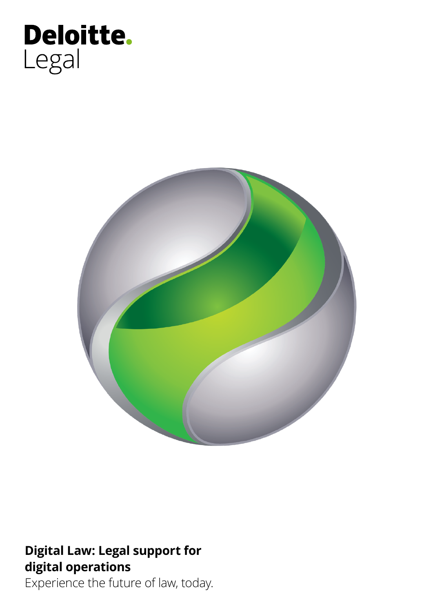# Deloitte.<br>Legal



## **Digital Law: Legal support for digital operations**

Experience the future of law, today.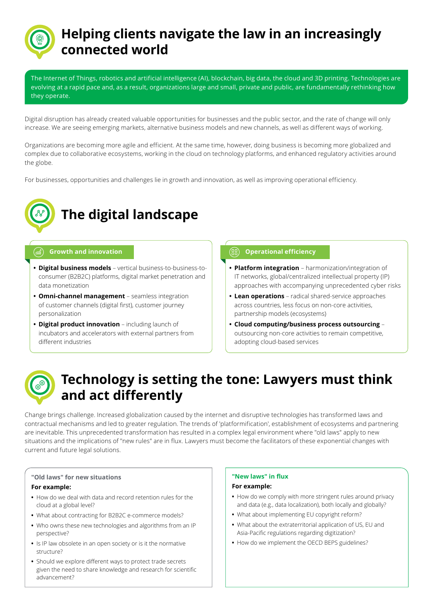## **Helping clients navigate the law in an increasingly connected world**

The Internet of Things, robotics and artificial intelligence (AI), blockchain, big data, the cloud and 3D printing. Technologies are evolving at a rapid pace and, as a result, organizations large and small, private and public, are fundamentally rethinking how they operate.

Digital disruption has already created valuable opportunities for businesses and the public sector, and the rate of change will only increase. We are seeing emerging markets, alternative business models and new channels, as well as different ways of working.

Organizations are becoming more agile and efficient. At the same time, however, doing business is becoming more globalized and complex due to collaborative ecosystems, working in the cloud on technology platforms, and enhanced regulatory activities around the globe.

For businesses, opportunities and challenges lie in growth and innovation, as well as improving operational efficiency.



# **The digital landscape**

- **• Digital business models** vertical business-to-business-toconsumer (B2B2C) platforms, digital market penetration and data monetization
- **• Omni-channel management** seamless integration of customer channels (digital first), customer journey personalization
- **• Digital product innovation** including launch of incubators and accelerators with external partners from different industries

## **Growth and innovation Operational Exercise Article Constant Constant Constant Constant Constant Constant Constant Constant Constant Constant Constant Constant Constant Constant Constant Constant Constant Constant Consta**

- **• Platform integration** harmonization/integration of IT networks, global/centralized intellectual property (IP) approaches with accompanying unprecedented cyber risks
- **• Lean operations** radical shared-service approaches across countries, less focus on non-core activities, partnership models (ecosystems)
- **• Cloud computing/business process outsourcing** outsourcing non-core activities to remain competitive, adopting cloud-based services

## **Technology is setting the tone: Lawyers must think and act differently**

Change brings challenge. Increased globalization caused by the internet and disruptive technologies has transformed laws and contractual mechanisms and led to greater regulation. The trends of 'platformification', establishment of ecosystems and partnering are inevitable. This unprecedented transformation has resulted in a complex legal environment where "old laws" apply to new situations and the implications of "new rules" are in flux. Lawyers must become the facilitators of these exponential changes with current and future legal solutions.

## **"Old laws" for new situations For example:**

- **•** How do we deal with data and record retention rules for the cloud at a global level?
- **•** What about contracting for B2B2C e-commerce models?
- **•** Who owns these new technologies and algorithms from an IP perspective?
- **•** Is IP law obsolete in an open society or is it the normative structure?
- **•** Should we explore different ways to protect trade secrets given the need to share knowledge and research for scientific advancement?

## **"New laws" in flux**

### **For example:**

- **•** How do we comply with more stringent rules around privacy and data (e.g., data localization), both locally and globally?
- **•** What about implementing EU copyright reform?
- **•** What about the extraterritorial application of US, EU and Asia-Pacific regulations regarding digitization?
- **•** How do we implement the OECD BEPS guidelines?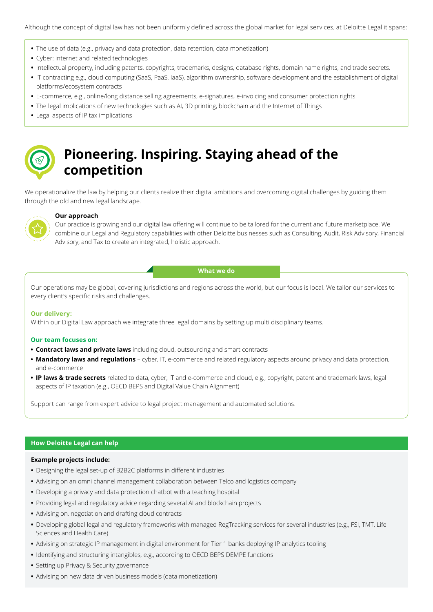- **•** The use of data (e.g., privacy and data protection, data retention, data monetization)
- **•** Cyber: internet and related technologies
- **•** Intellectual property, including patents, copyrights, trademarks, designs, database rights, domain name rights, and trade secrets.
- **•** IT contracting e.g., cloud computing (SaaS, PaaS, IaaS), algorithm ownership, software development and the establishment of digital platforms/ecosystem contracts
- **•** E-commerce, e.g., online/long distance selling agreements, e-signatures, e-invoicing and consumer protection rights
- **•** The legal implications of new technologies such as AI, 3D printing, blockchain and the Internet of Things
- **•** Legal aspects of IP tax implications



## **Pioneering. Inspiring. Staying ahead of the competition**

We operationalize the law by helping our clients realize their digital ambitions and overcoming digital challenges by guiding them through the old and new legal landscape.



### **Our approach**

Our practice is growing and our digital law offering will continue to be tailored for the current and future marketplace. We combine our Legal and Regulatory capabilities with other Deloitte businesses such as Consulting, Audit, Risk Advisory, Financial Advisory, and Tax to create an integrated, holistic approach.

#### **What we do**

Our operations may be global, covering jurisdictions and regions across the world, but our focus is local. We tailor our services to every client's specific risks and challenges.

#### **Our delivery:**

Within our Digital Law approach we integrate three legal domains by setting up multi disciplinary teams.

#### **Our team focuses on:**

- **• Contract laws and private laws** including cloud, outsourcing and smart contracts
- **• Mandatory laws and regulations** cyber, IT, e-commerce and related regulatory aspects around privacy and data protection, and e-commerce
- **• IP laws & trade secrets** related to data, cyber, IT and e-commerce and cloud, e.g., copyright, patent and trademark laws, legal aspects of IP taxation (e.g., OECD BEPS and Digital Value Chain Alignment)

Support can range from expert advice to legal project management and automated solutions.

## **How Deloitte Legal can help**

#### **Example projects include:**

- **•** Designing the legal set-up of B2B2C platforms in different industries
- **•** Advising on an omni channel management collaboration between Telco and logistics company
- **•** Developing a privacy and data protection chatbot with a teaching hospital
- **•** Providing legal and regulatory advice regarding several AI and blockchain projects
- **•** Advising on, negotiation and drafting cloud contracts
- **•** Developing global legal and regulatory frameworks with managed RegTracking services for several industries (e.g., FSI, TMT, Life Sciences and Health Care)
- **•** Advising on strategic IP management in digital environment for Tier 1 banks deploying IP analytics tooling
- **•** Identifying and structuring intangibles, e.g., according to OECD BEPS DEMPE functions
- **•** Setting up Privacy & Security governance
- **•** Advising on new data driven business models (data monetization)